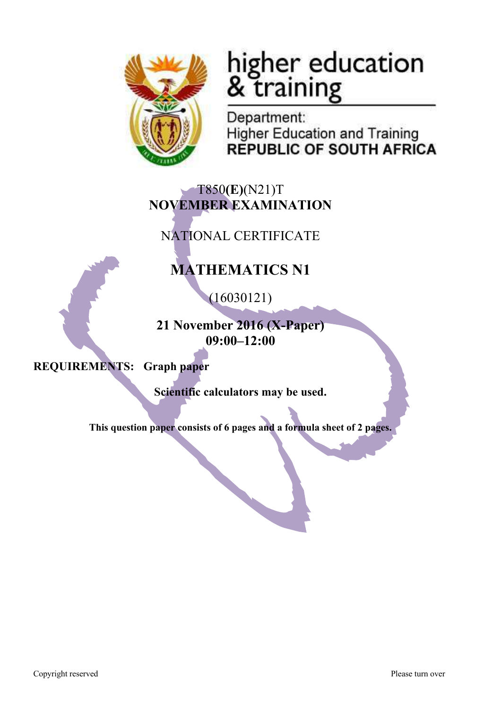

# higher education<br>& training

Department: **Higher Education and Training REPUBLIC OF SOUTH AFRICA** 

# T850**(E)**(N21)T **NOVEMBER EXAMINATION**

NATIONAL CERTIFICATE

# **MATHEMATICS N1**

(16030121)

**21 November 2016 (X-Paper) 09:00–12:00**

**REQUIREMENTS: Graph paper**

**Scientific calculators may be used.**

**This question paper consists of 6 pages and a formula sheet of 2 pages.**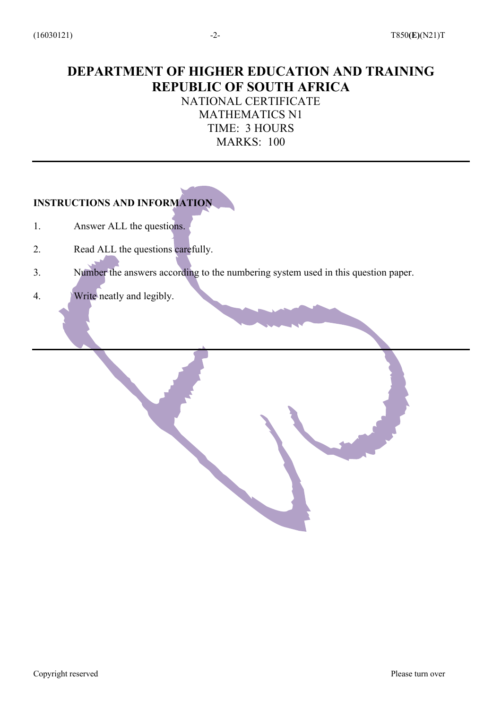# **DEPARTMENT OF HIGHER EDUCATION AND TRAINING REPUBLIC OF SOUTH AFRICA** NATIONAL CERTIFICATE

MATHEMATICS N1 TIME: 3 HOURS MARKS: 100

## **INSTRUCTIONS AND INFORMATION**

- 1. Answer ALL the questions.
- 2. Read ALL the questions carefully.
- 3. Number the answers according to the numbering system used in this question paper.
- 4. Write neatly and legibly.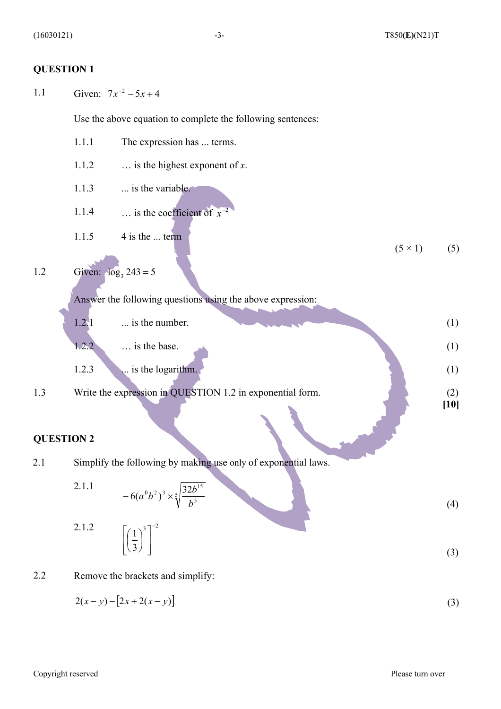#### **QUESTION 1**

1.1 Given:  $7x^{-2} - 5x + 4$ 

Use the above equation to complete the following sentences:

|     | 1.1.1 | The expression has  terms.                                 |                |               |
|-----|-------|------------------------------------------------------------|----------------|---------------|
|     | 1.1.2 | $\ldots$ is the highest exponent of x.                     |                |               |
|     | 1.1.3 | is the variable.                                           |                |               |
|     | 1.1.4 | is the coefficient of $x^{-2}$                             |                |               |
|     | 1.1.5 | 4 is the  term                                             | $(5 \times 1)$ | (5)           |
| 1.2 |       | Given: $log_3 243 = 5$                                     |                |               |
|     |       | Answer the following questions using the above expression: |                |               |
|     | 1.2.1 | is the number.                                             |                | (1)           |
|     | 1.2.2 | is the base.                                               |                | (1)           |
|     | 1.2.3 | is the logarithm.                                          |                | (1)           |
| 1.3 |       | Write the expression in QUESTION 1.2 in exponential form.  |                | (2)<br>$[10]$ |
|     |       |                                                            |                |               |

### **QUESTION 2**

 $1.2$ 

2.1 Simplify the following by making use only of exponential laws.

2.1.1  
\n
$$
-6(a^0b^2)^3 \times \sqrt[5]{\frac{32b^{15}}{b^5}}
$$
\n(4)

$$
\left[\left(\frac{1}{3}\right)^3\right]^{-2} \tag{3}
$$

2.2 Remove the brackets and simplify:

ù

 (3)  $2(x - y) - [2x + 2(x - y)]$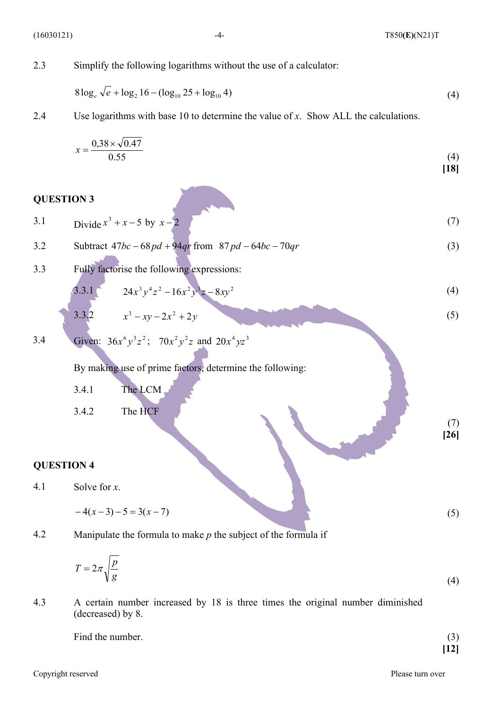**[18]**

 (7) **[26]**

2.3 Simplify the following logarithms without the use of a calculator:

$$
8\log_e \sqrt{e} + \log_2 16 - (\log_{10} 25 + \log_{10} 4) \tag{4}
$$

2.4 Use logarithms with base 10 to determine the value of *x*. Show ALL the calculations.

$$
x = \frac{0.38 \times \sqrt{0.47}}{0.55}
$$
 (4)

#### **QUESTION 3**

| 3.1 | Divide $x^3 + x - 5$ by $x - 2$                                                      | (7) |
|-----|--------------------------------------------------------------------------------------|-----|
| 3.2 | Subtract $47bc - 68pd + 94qr$ from $87pd - 64bc - 70qr$                              | (3) |
| 3.3 | Fully factorise the following expressions:<br>$24x^3y^4z^2-16x^2y^3z-8xy^2$<br>3.3.1 | (4) |
|     | 3.3.2<br>$x^3 - xy - 2x^2 + 2y$                                                      | (5) |

3.4 Given: 
$$
36x^6y^3z^2
$$
;  $70x^2y^2z$  and  $20x^4yz^3$ 

By making use of prime factors, determine the following:

- 3.4.1 The LCM
- 3.4.2 The HCF

#### **QUESTION 4**

4.1 Solve for *x*.

$$
-4(x-3)-5=3(x-7)
$$
 (5)

4.2 Manipulate the formula to make *p* the subject of the formula if

$$
T = 2\pi \sqrt{\frac{p}{g}}\tag{4}
$$

4.3 A certain number increased by 18 is three times the original number diminished (decreased) by 8.

| Find the number. | $\sim$<br>. ( گ |
|------------------|-----------------|
|                  | 12              |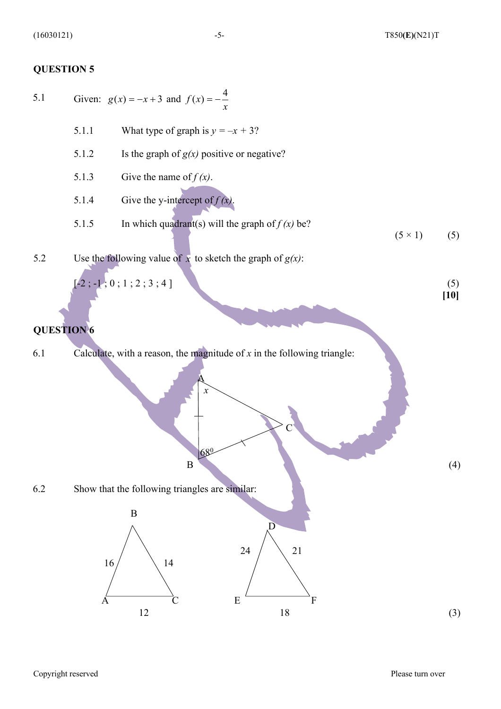#### **QUESTION 5**

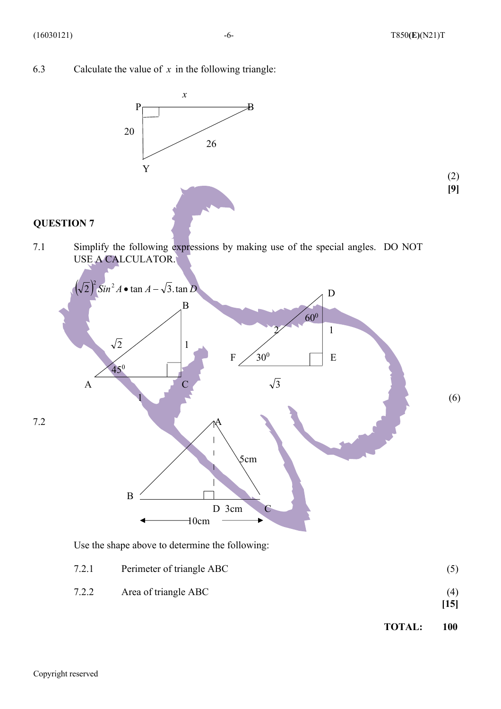**[9]**

6.3 Calculate the value of  $x$  in the following triangle:



# **QUESTION 7**

7.1 Simplify the following expressions by making use of the special angles. DO NOT USE A CALCULATOR.



Use the shape above to determine the following:

- 7.2.1 Perimeter of triangle ABC (5) 7.2.2 Area of triangle ABC (4) **[15]**
	- **TOTAL: 100**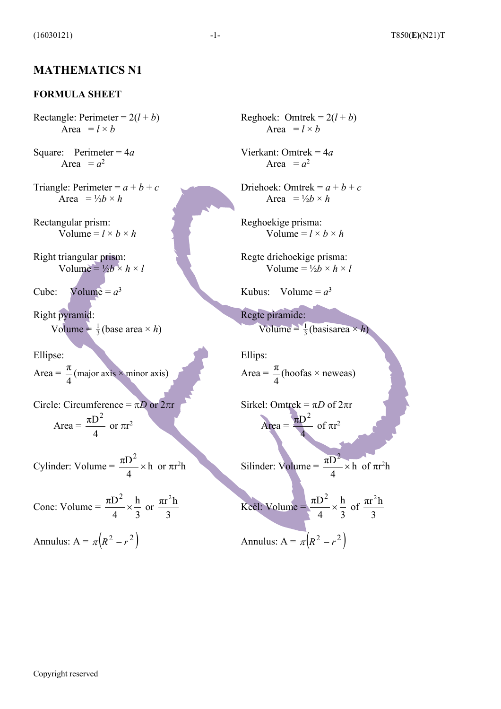#### **MATHEMATICS N1**

#### **FORMULA SHEET**

Rectangle: Perimeter =  $2(l + b)$ Area =  $l \times b$ 

Square: Perimeter = 4*a* Area  $= a^2$ 

Triangle: Perimeter =  $a + b + c$ Area =  $\frac{1}{2}b \times h$ 

Rectangular prism: Volume =  $l \times b \times h$ 

Right triangular prism: Volume =  $\frac{1}{2}b \times h \times l$ 

Cube: Volume =  $a^3$ 

Right pyramid: Volume =  $\frac{1}{3}$ (base area × *h*) 1

Ellipse:

Area =  $\frac{\pi}{2}$ (major axis  $\times$  minor axis) 4 π

Circle: Circumference =  $\pi D$  or  $2\pi r$  $Area = \frac{dD}{dx}$  or  $\pi r^2$ 4  $\pi D^2$ 

Cylinder: Volume =  $\frac{hD}{1} \times h$  or  $\pi r^2$ 4  $\pi D^2$ 

Cone: Volume = 
$$
\frac{\pi D^2}{4} \times \frac{h}{3}
$$
 or  $\frac{\pi r^2 h}{3}$  Keël: Volume =  $\frac{\pi D^2}{4} \times \frac{h}{3}$  of

Annulus:  $A = \pi (R^2 - r^2)$  Annulus:  $A =$ 

Reghoek: Omtrek =  $2(l + b)$ Area =  $l \times b$ 

Vierkant: Omtrek = 4*a* Area  $= a^2$ 

Driehoek: Omtrek =  $a + b + c$ Area =  $\frac{1}{2}b \times h$ 

Reghoekige prisma: Volume =  $l \times b \times h$ 

Regte driehoekige prisma: Volume =  $\frac{1}{2}b \times h \times l$ 

Kubus: Volume =  $a^3$ 

Regte piramide: Volume =  $\frac{1}{3}$ (basisarea × *h*) 1

Ellips: Area =  $\frac{\pi}{4}$ (hoofas × neweas) 4 π

Sirkel: Omtrek =  $\pi D$  of  $2\pi r$  $Area = \frac{dP}{dx}$  of  $\pi r^2$  $\pi D^2$ 

4

 $\times$  h or  $\pi r^2 h$  Silinder: Volume =  $\frac{hD}{r} \times h$  of  $\pi r^2 h$ 4  $\frac{\pi D^2}{\cdot} \times$ 

3 h 4  $\frac{\pi D^2}{\cdot} \times$ 3  $\pi r^2 h$  $p(\pi R^2 - r^2)$  Annulus: A =  $p(\pi R^2 - r^2)$